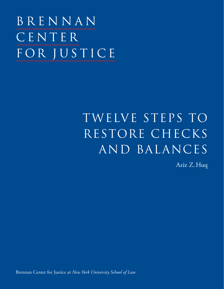BRENNAN CENTER FOR JUSTICE

# TWELVE STEPS TO restore checks and balances

Aziz Z. Huq

Brennan Center for Justice *at New York University School of Law*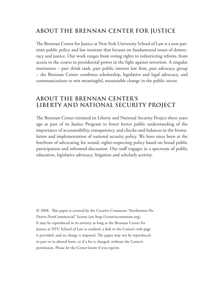#### **ABOUT THE BRENNAN CENTER FOR JUSTICE**

The Brennan Center for Justice at New York University School of Law is a non-partisan public policy and law institute that focuses on fundamental issues of democracy and justice. Our work ranges from voting rights to redistricting reform, from access to the courts to presidential power in the fight against terrorism. A singular institution – part think tank, part public interest law firm, part advocacy group – the Brennan Center combines scholarship, legislative and legal advocacy, and communications to win meaningful, measurable change in the public sector.

#### **ABOUT THE BRENNAN CENTER'S LIBERTY AND NATIONAL SECURITY PROJECT**

The Brennan Center initiated its Liberty and National Security Project three years ago as part of its Justice Program to foster better public understanding of the importance of accountability, transparency, and checks-and-balances in the formulation and implementation of national security policy. We have since been at the forefront of advocating for sound, rights-respecting policy based on broad public participation and informed discussion. Our staff engages in a spectrum of public education, legislative advocacy, litigation and scholarly activity.

© 2008. This paper is covered by the Creative Commons "Attribution-No Derivs-NonCommercial" license (see http://creativecommons.org). It may be reproduced in its entirety as long as the Brennan Center for Justice at NYU School of Law is credited, a link to the Center's web page is provided, and no charge is imposed. The paper may not be reproduced in part or in altered form, or if a fee is charged, without the Center's permission. Please let the Center know if you reprint.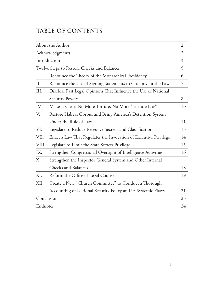### **Table of Contents**

| About the Author<br>Acknowledgments         |                                                                  | $\overline{2}$ |
|---------------------------------------------|------------------------------------------------------------------|----------------|
|                                             |                                                                  | $\overline{2}$ |
| Introduction                                |                                                                  | $\mathfrak{Z}$ |
| Twelve Steps to Restore Checks and Balances |                                                                  | 5              |
| I.                                          | Renounce the Theory of the Monarchical Presidency                | 6              |
| II.                                         | Renounce the Use of Signing Statements to Circumvent the Law     | 7              |
| III.                                        | Disclose Past Legal Opinions That Influence the Use of National  |                |
|                                             | <b>Security Powers</b>                                           | 8              |
| IV.                                         | Make It Clear: No More Torture, No More "Torture Lite"           | 10             |
| V.                                          | Restore Habeas Corpus and Bring America's Detention System       |                |
|                                             | Under the Rule of Law                                            | 11             |
| VI.                                         | Legislate to Reduce Excessive Secrecy and Classification         | 13             |
| VII.                                        | Enact a Law That Regulates the Invocation of Executive Privilege | 14             |
| VIII.                                       | Legislate to Limit the State Secrets Privilege                   | 15             |
| IX.                                         | Strengthen Congressional Oversight of Intelligence Activities    | 16             |
| Χ.                                          | Strengthen the Inspector General System and Other Internal       |                |
|                                             | <b>Checks and Balances</b>                                       | 18             |
| XI.                                         | Reform the Office of Legal Counsel                               | 19             |
| XII.                                        | Create a New "Church Committee" to Conduct a Thorough            |                |
|                                             | Accounting of National Security Policy and its Systemic Flaws    | 21             |
|                                             | Conclusion                                                       |                |
| Endnotes                                    |                                                                  | 24             |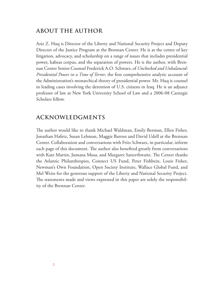#### **ABOUT THE AUTHOR**

Aziz Z. Huq is Director of the Liberty and National Security Project and Deputy Director of the Justice Program at the Brennan Center. He is at the center of key litigation, advocacy, and scholarship on a range of issues that includes presidential power, habeas corpus, and the separation of powers. He is the author, with Brennan Center Senior Counsel Frederick A.O. Schwarz, of *Unchecked and Unbalanced: Presidential Power in a Time of Terror*, the first comprehensive analytic account of the Administration's monarchical theory of presidential power. Mr. Huq is counsel in leading cases involving the detention of U.S. citizens in Iraq. He is an adjunct professor of law at New York University School of Law and a 2006-08 Carnegie Scholars fellow.

#### **ACKNOWLEDGMENTS**

The author would like to thank Michael Waldman, Emily Berman, Ellen Fisher, Jonathan Hafetz, Susan Lehman, Maggie Barron and David Udell at the Brennan Center. Collaboration and conversations with Fritz Schwarz, in particular, inform each page of this document. The author also benefited greatly from conversations with Kate Martin, Jumana Musa, and Margaret Satterthwaite. The Center thanks the Atlantic Philanthropies, Connect US Fund, Peter Fishbein, Louis Fisher, Newman's Own Foundation, Open Society Institute, Wallace Global Fund, and Mel Weiss for the generous support of the Liberty and National Security Project. The statements made and views expressed in this paper are solely the responsibility of the Brennan Center.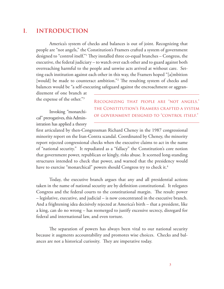#### **I. Introduction**

America's system of checks and balances is out of joint. Recognizing that people are "not angels," the Constitution's Framers crafted a system of government designed to "control itself."1 They installed three co-equal branches – Congress, the executive, the federal judiciary – to watch over each other and to guard against both overreaching harmful to the people and unwise acts arrived at without care. Setting each institution against each other in this way, the Framers hoped "[a]mbition [would] be made to counteract ambition."<sup>2</sup> The resulting system of checks and balances would be "a self-executing safeguard against the encroachment or aggran-

dizement of one branch at the expense of the other."3

Invoking "monarchical" prerogatives, this Administration has applied a theory Recognizing that people are "not angels," the Constitution's Framers crafted a system of government designed to "control itself."

first articulated by then-Congressman Richard Cheney in the 1987 congressional minority report on the Iran-Contra scandal. Coordinated by Cheney, the minority report rejected congressional checks when the executive claims to act in the name of "national security." It repudiated as a "fallacy" the Constitution's core notion that government power, republican or kingly, risks abuse. It scorned long-standing structures intended to check that power, and warned that the presidency would have to exercise "monarchical" powers should Congress try to check it. $^4$ 

Today, the executive branch argues that any and all presidential actions taken in the name of national security are by definition constitutional. It relegates Congress and the federal courts to the constitutional margin. The result: power – legislative, executive, and judicial – is now concentrated in the executive branch. And a frightening idea decisively rejected at America's birth – that a president, like a king, can do no wrong – has reemerged to justify excessive secrecy, disregard for federal and international law, and even torture.

The separation of powers has always been vital to our national security because it augments accountability and promotes wise choices. Checks and balances are not a historical curiosity. They are imperative today.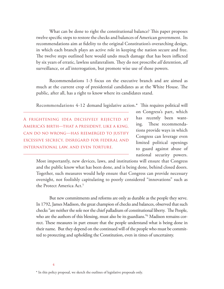What can be done to right the constitutional balance? This paper proposes twelve specific steps to restore the checks and balances of American government. Its recommendations aim at fidelity to the original Constitution's overarching design, in which each branch plays an active role in keeping the nation secure and free. The twelve steps outlined here would undo much damage that has been inflicted by six years of erratic, lawless unilateralism. They do not proscribe *all* detention, *all*  surveillance, or *all* interrogation, but promote wise use of those powers.

Recommendations 1-3 focus on the executive branch and are aimed as much at the current crop of presidential candidates as at the White House. The public, after all, has a right to know where its candidates stand.

Recommendations 4-12 demand legislative action.\* This requires political will

A frightening idea decisively rejected at America's birth—that a president, like a king, can do no wrong—has reemerged to justify excessive secrecy, disregard for federal and international law, and even torture.

on Congress's part, which has recently been wanting. These recommendations provide ways in which Congress can leverage even limited political openings to guard against abuse of national security powers.

Most importantly, new devices, laws, and institutions will ensure that Congress and the public know what has been done, and is being done, behind closed doors. Together, such measures would help ensure that Congress can provide necessary oversight, not foolishly capitulating to poorly considered "innovations" such as the Protect America Act.<sup>5</sup>

But new commitments and reforms are only as durable as the people they serve. In 1792, James Madison, the great champion of checks and balances, observed that such checks "are neither the sole nor the chief palladium of constitutional liberty. The People, who are the authors of this blessing, must also be its guardians."6 Madison remains correct. These measures in part ensure that the people understand what is being done in their name. But they depend on the continued will of the people who must be committed to protecting and upholding the Constitution, even in times of uncertainty.

<sup>\*</sup> In this policy proposal, we sketch the outlines of legislative proposals only.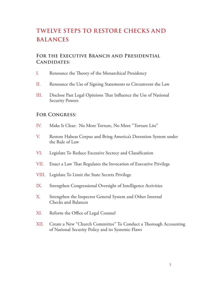# **Twelve Steps to Restore Checks and Balances**

#### **For the Executive Branch and Presidential Candidates:**

- I. Renounce the Theory of the Monarchical Presidency
- II. Renounce the Use of Signing Statements to Circumvent the Law
- III. Disclose Past Legal Opinions That Influence the Use of National Security Powers

#### **For Congress:**

- IV. Make It Clear: No More Torture, No More "Torture Lite"
- V. Restore Habeas Corpus and Bring America's Detention System under the Rule of Law
- VI. Legislate To Reduce Excessive Secrecy and Classification
- VII. Enact a Law That Regulates the Invocation of Executive Privilege
- VIII. Legislate To Limit the State Secrets Privilege
- IX. Strengthen Congressional Oversight of Intelligence Activities
- X. Strengthen the Inspector General System and Other Internal Checks and Balances
- XI. Reform the Office of Legal Counsel
- XII. Create a New "Church Committee" To Conduct a Thorough Accounting of National Security Policy and its Systemic Flaws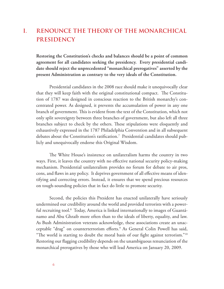# **I. Renounce the Theory of the Monarchical Presidency**

**Restoring the Constitution's checks and balances should be a point of common agreement for all candidates seeking the presidency. Every presidential candidate should reject the unprecedented "monarchical prerogatives" asserted by the present Administration as contrary to the very ideals of the Constitution.**

Presidential candidates in the 2008 race should make it unequivocally clear that they will keep faith with the original constitutional compact. The Constitution of 1787 was designed in conscious reaction to the British monarchy's concentrated power. As designed, it prevents the accumulation of power in any one branch of government. This is evident from the text of the Constitution, which not only split sovereignty between three branches of government, but also left all three branches subject to check by the others. These stipulations were eloquently and exhaustively expressed in the 1787 Philadelphia Convention and in all subsequent debates about the Constitution's ratification. $^7\,$  Presidential candidates should publicly and unequivocally endorse this Original Wisdom.

The White House's insistence on unilateralism harms the country in two ways. First, it leaves the country with no effective national security policy-making mechanism. Presidential unilateralism provides no forum for debate to air pros, cons, and flaws in any policy. It deprives government of all effective means of identifying and correcting errors. Instead, it ensures that we spend precious resources on tough-sounding policies that in fact do little to promote security.

Second, the policies this President has enacted unilaterally have seriously undermined our credibility around the world and provided terrorists with a powerful recruiting tool.8 Today, America is linked internationally to images of Guantánamo and Abu Ghraib more often than to the ideals of liberty, equality, and law. As Bush Administration veterans acknowledge, these associations create an unacceptable "drag" on counterterrorism efforts.9 As General Colin Powell has said, "The world is starting to doubt the moral basis of our fight against terrorism."<sup>10</sup> Restoring our flagging credibility depends on the unambiguous renunciation of the monarchical prerogatives by those who will lead America on January 20, 2009.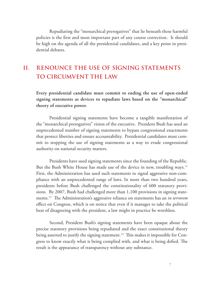Repudiating the "monarchical prerogatives" that lie beneath these harmful policies is the first and most important part of any course correction. It should be high on the agenda of all the presidential candidates, and a key point in presidential debates.

# **II. Renounce the Use of Signing Statements to Circumvent the Law**

**Every presidential candidate must commit to ending the use of open-ended signing statements as devices to repudiate laws based on the "monarchical" theory of executive power.**

Presidential signing statements have become a tangible manifestation of the "monarchical prerogatives" vision of the executive. President Bush has used an unprecedented number of signing statements to bypass congressional enactments that protect liberties and ensure accountability. Presidential candidates must commit to stopping the use of signing statements as a way to evade congressional authority on national security matters.

Presidents have used signing statements since the founding of the Republic. But the Bush White House has made use of the device in new, troubling ways.<sup>11</sup> First, the Administration has used such statements to signal aggressive non-compliance with an unprecedented range of laws. In more than two hundred years, presidents before Bush challenged the constitutionality of 600 statutory provisions. By 2007, Bush had challenged more than 1,100 provisions in signing statements.12 The Administration's aggressive reliance on statements has an *in terrorem* effect on Congress, which is on notice that even if it manages to take the political heat of disagreeing with the president, a law might in practice be worthless.

Second, President Bush's signing statements have been opaque about the precise statutory provisions being repudiated and the exact constitutional theory being asserted to justify the signing statement. $^{13}$  This makes it impossible for Congress to know exactly what is being complied with, and what is being defied. The result is the appearance of transparency without any substance.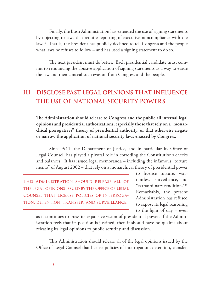Finally, the Bush Administration has extended the use of signing statements by objecting to laws that require reporting of executive noncompliance with the law.14 That is, the President has publicly declined to tell Congress and the people what laws he refuses to follow – and has used a signing statement to do so.

The next president must do better. Each presidential candidate must commit to renouncing the abusive application of signing statements as a way to evade the law and then conceal such evasion from Congress and the people.

## **III. Disclose Past Legal Opinions That Influence the Use of National Security Powers**

**The Administration should release to Congress and the public all internal legal opinions and presidential authorizations, especially those that rely on a "monarchical prerogatives" theory of presidential authority, or that otherwise negate or narrow the application of national security laws enacted by Congress.**

Since 9/11, the Department of Justice, and in particular its Office of Legal Counsel, has played a pivotal role in corroding the Constitution's checks and balances. It has issued legal memoranda – including the infamous "torture memo" of August 2002 – that rely on a monarchical theory of presidential power

This Administration should release all of the legal opinions issued by the Office of Legal Counsel that license policies of interrogation, detention, transfer, and surveillance.

to license torture, warrantless surveillance, and "extraordinary rendition."15 Remarkably, the present Administration has refused to expose its legal reasoning to the light of day – even

as it continues to press its expansive vision of presidential power. If the Administration feels that its position is justified, then it should have no qualms about releasing its legal opinions to public scrutiny and discussion.

This Administration should release all of the legal opinions issued by the Office of Legal Counsel that license policies of interrogation, detention, transfer,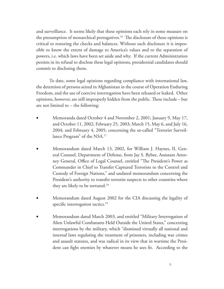and surveillance. It seems likely that these opinions each rely in some measure on the presumption of monarchical prerogatives.<sup>16</sup> The disclosure of these opinions is critical to restoring the checks and balances. Without such disclosure it is impossible to know the extent of damage to America's values and to the separation of powers, i.e. which laws have been set aside and why. If the current Administration persists in its refusal to disclose these legal opinions, presidential candidates should commit to disclosing them.

To date, some legal opinions regarding compliance with international law, the detention of persons seized in Afghanistan in the course of Operation Enduring Freedom, and the use of coercive interrogation have been released or leaked. Other opinions, however, are still improperly hidden from the public. These include – but are not limited to – the following:

- Memoranda dated October 4 and November 2, 2001; January 9, May 17, and October 11, 2002; February 25, 2003; March 15, May 6, and July 16, 2004; and February 4, 2005; concerning the so-called "Terrorist Surveillance Program" of the NSA.<sup>17</sup>
- Memorandum dated March 13, 2002, for William J. Haynes, II, General Counsel, Department of Defense, from Jay S. Bybee, Assistant Attorney General, Office of Legal Counsel, entitled "The President's Power as Commander in Chief to Transfer Captured Terrorists to the Control and Custody of Foreign Nations," and undated memorandum concerning the President's authority to transfer terrorist suspects to other countries where they are likely to be tortured.<sup>18</sup>
- Memorandum dated August 2002 for the CIA discussing the legality of specific interrogation tactics.<sup>19</sup>
- Memorandum dated March 2003, and entitled "Military Interrogation of Alien Unlawful Combatants Held Outside the United States," concerning interrogations by the military, which "dismissed virtually all national and internal laws regulating the treatment of prisoners, including war crimes and assault statutes, and was radical in its view that in wartime the President can fight enemies by whatever means he sees fit. According to the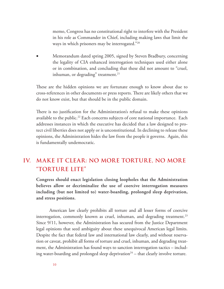memo, Congress has no constitutional right to interfere with the President in his role as Commander in Chief, including making laws that limit the ways in which prisoners may be interrogated."20

Memorandum dated spring 2005, signed by Steven Bradbury, concerning the legality of CIA enhanced interrogation techniques used either alone or in combination, and concluding that these did not amount to "cruel, inhuman, or degrading" treatment. $21$ 

These are the hidden opinions we are fortunate enough to know about due to cross-references in other documents or press reports. There are likely others that we do not know exist, but that should be in the public domain.

There is no justification for the Administration's refusal to make these opinions available to the public.<sup>22</sup> Each concerns subjects of core national importance. Each addresses instances in which the executive has decided that a law designed to protect civil liberties does not apply or is unconstitutional. In declining to release these opinions, the Administration hides the law from the people it governs. Again, this is fundamentally undemocratic.

### **IV. Make It Clear: No More Torture, No More "Torture Lite"**

**Congress should enact legislation closing loopholes that the Administration believes allow or decriminalize the use of coercive interrogation measures including (but not limited to) water-boarding, prolonged sleep deprivation, and stress positions.**

American law clearly prohibits all torture and all lesser forms of coercive interrogation, commonly known as cruel, inhuman, and degrading treatment.<sup>23</sup> Since 9/11, however, the Administration has secured from the Justice Department legal opinions that seed ambiguity about these unequivocal American legal limits. Despite the fact that federal law and international law clearly, and without reservation or caveat, prohibit all forms of torture and cruel, inhuman, and degrading treatment, the Administration has found ways to sanction interrogation tactics – including water-boarding and prolonged sleep deprivation<sup>24</sup> – that clearly involve torture.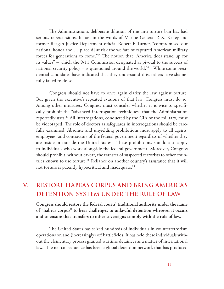The Administration's deliberate dilution of the anti-torture ban has had serious repercussions. It has, in the words of Marine General P. X. Kelley and former Reagan Justice Department official Robert F. Turner, "compromised our national honor and … place[d] at risk the welfare of captured American military forces for generations to come."25 The notion that "America does stand up for its values" – which the 9/11 Commission designated as pivotal to the success of national security policy – is questioned around the world.<sup>26</sup> While some presidential candidates have indicated that they understand this, others have shamefully failed to do so.

Congress should not have to once again clarify the law against torture. But given the executive's repeated evasions of that law, Congress must do so. Among other measures, Congress must consider whether it is wise to specifically prohibit the "advanced interrogation techniques" that the Administration reportedly uses.<sup>27</sup> All interrogations, conducted by the CIA or the military, must be videotaped. The role of doctors as safeguards in interrogations should be carefully examined. Absolute and unyielding prohibitions must apply to all agents, employees, and contractors of the federal government regardless of whether they are inside or outside the United States. These prohibitions should also apply to individuals who work alongside the federal government. Moreover, Congress should prohibit, without caveat, the transfer of suspected terrorists to other countries known to use torture.<sup>28</sup> Reliance on another country's assurance that it will not torture is patently hypocritical and inadequate.<sup>29</sup>

# **V. Restore Habeas Corpus and Bring America's Detention System under the Rule of Law**

**Congress should restore the federal courts' traditional authority under the name of "habeas corpus" to hear challenges to unlawful detention wherever it occurs and to ensure that transfers to other sovereigns comply with the rule of law.**

The United States has seized hundreds of individuals in counterterrorism operations on and (increasingly) off battlefields. It has held these individuals without the elementary process granted wartime detainees as a matter of international law. The net consequence has been a global detention network that has produced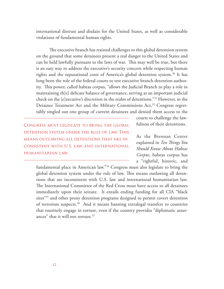international distrust and disdain for the United States, as well as considerable violations of fundamental human rights.

The executive branch has resisted challenges to this global detention system on the ground that some detainees present a real danger to the United States and can be held lawfully pursuant to the laws of war. This may well be true, but there is an easy way to address the executive's security concern while respecting human rights and the reputational costs of America's global detention system.<sup>30</sup> It has long been the role of the federal courts to test executive branch detention authority. This power, called habeas corpus, "allows the Judicial Branch to play a role in maintaining th[e] delicate balance of governance, serving as an important judicial check on the [e]xecutive's discretion in the realm of detentions."31 However, in the Detainee Treatment Act and the Military Commissions Act,<sup>32</sup> Congress regrettably singled out one group of current detainees and denied them access to the

Congress must legislate to bring the global detention system under the rule of law. This means outlawing all detentions that are inconsistent with U.S. law and international humanitarian law.

courts to challenge the lawfulness of their detentions.

As the Brennan Center explained in *Ten Things You Should Know About Habeas Corpus*, habeas corpus has a "rightful, historic, and

fundamental place in American law."34 Congress must also legislate to bring the global detention system under the rule of law. This means outlawing all detentions that are inconsistent with U.S. law and international humanitarian law. The International Committee of the Red Cross must have access to all detainees immediately upon their seizure. It entails ending funding for all CIA "black sites"35 and other proxy detention programs designed to permit covert detention of terrorism suspects.36 And it means banning extralegal transfers to countries that routinely engage in torture, even if the country provides "diplomatic assurances" that it will not torture.37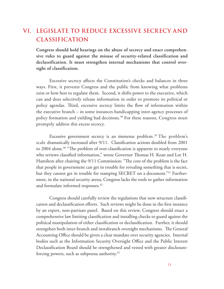## **VI. Legislate To Reduce Excessive Secrecy and Classification**

**Congress should hold hearings on the abuse of secrecy and enact comprehensive rules to guard against the misuse of security-related classification and declassification. It must strengthen internal mechanisms that control oversight of classification.**

Excessive secrecy affects the Constitution's checks and balances in three ways. First, it prevents Congress and the public from knowing what problems exist or how best to regulate them. Second, it shifts power to the executive, which can and does selectively release information in order to promote its political or policy agendas. Third, excessive secrecy limits the flow of information within the executive branch – in some instances handicapping inter-agency processes of policy formation and yielding bad decisions.<sup>38</sup> For these reasons, Congress must promptly address this excess secrecy.

Excessive government secrecy is an immense problem.<sup>39</sup> The problem's scale dramatically increased after 9/11. Classification actions doubled from 2001 to 2004 alone.<sup>40</sup> "The problem of over-classification is apparent to nearly everyone who reviews classified information," wrote Governor Thomas H. Kean and Lee H. Hamilton after chairing the 9/11 Commission: "The core of the problem is the fact that people in government can get in trouble for revealing something that is secret, but they cannot get in trouble for stamping SECRET on a document."<sup>41</sup> Furthermore, in the national security arena, Congress lacks the tools to gather information and formulate informed responses.<sup>42</sup>

Congress should carefully review the regulations that now structure classification and declassification efforts. Such reviews might be done in the first instance by an expert, non-partisan panel. Based on this review, Congress should enact a comprehensive law limiting classification and installing checks to guard against the political manipulation of either classification or declassification. Further, it should strengthen both inter-branch and intrabranch oversight mechanisms. The General Accounting Office should be given a clear mandate over security agencies. Internal bodies such as the Information Security Oversight Office and the Public Interest Declassification Board should be strengthened and vested with greater disclosureforcing powers, such as subpoena authority.<sup>43</sup>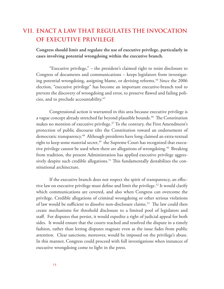#### **VII. Enact a Law That Regulates the Invocation of Executive Privilege**

**Congress should limit and regulate the use of executive privilege, particularly in cases involving potential wrongdoing within the executive branch.**

"Executive privilege," – the president's claimed right to resist disclosure to Congress of documents and communications – keeps legislators from investigating potential wrongdoing, assigning blame, or devising reforms.<sup>44</sup> Since the 2006 election, "executive privilege" has become an important executive-branch tool to prevent the discovery of wrongdoing and error, to preserve flawed and failing policies, and to preclude accountability.45

Congressional action is warranted in this area because executive privilege is a vague concept already stretched far beyond plausible bounds.<sup>46</sup> The Constitution makes no mention of executive privilege.<sup>47</sup> To the contrary, the First Amendment's protection of public discourse tilts the Constitution toward an endorsement of democratic transparency.<sup>48</sup> Although presidents have long claimed an extra-textual right to keep some material secret,<sup>49</sup> the Supreme Court has recognized that executive privilege cannot be used when there are allegations of wrongdoing.<sup>50</sup> Breaking from tradition, the present Administration has applied executive privilege aggressively despite such credible allegations. $51$  This fundamentally destabilizes the constitutional architecture.

If the executive branch does not respect the spirit of transparency, an effective law on executive privilege must define and limit the privilege.<sup>52</sup> It would clarify which communications are covered, and also when Congress can overcome the privilege. Credible allegations of criminal wrongdoing or other serious violations of law would be sufficient to dissolve non-disclosure claims.<sup>53</sup> The law could then create mechanisms for threshold disclosure to a limited pool of legislators and staff. For disputes that persist, it would expedite a right of judicial appeal for both sides. It would ensure that the courts reached and resolved the dispute in a timely fashion, rather than letting disputes stagnate even as the issue fades from public attention. Clear sanctions, moreover, would be imposed on the privilege's abuse. In this manner, Congress could proceed with full investigations when instances of executive wrongdoing come to light in the press.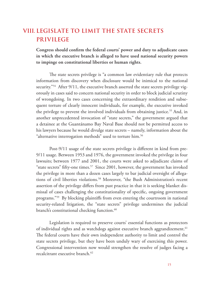## **VIII. Legislate To Limit the State Secrets Privilege**

**Congress should confirm the federal courts' power and duty to adjudicate cases in which the executive branch is alleged to have used national security powers to impinge on constitutional liberties or human rights.**

The state secrets privilege is "a common law evidentiary rule that protects information from discovery when disclosure would be inimical to the national security."<sup>54</sup> After 9/11, the executive branch asserted the state secrets privilege vigorously in cases said to concern national security in order to block judicial scrutiny of wrongdoing. In two cases concerning the extraordinary rendition and subsequent torture of clearly innocent individuals, for example, the executive invoked the privilege to prevent the involved individuals from obtaining justice.<sup>55</sup> And, in another unprecedented invocation of "state secrets," the government argued that a detainee at the Guantánamo Bay Naval Base should not be permitted access to his lawyers because he would divulge state secrets – namely, information about the "alternative interrogation methods" used to torture him.<sup>56</sup>

Post-9/11 usage of the state secrets privilege is different in kind from pre-9/11 usage. Between 1953 and 1976, the government invoked the privilege in four lawsuits; between 1977 and 2001, the courts were asked to adjudicate claims of "state secrets" fifty-one times.<sup>57</sup> Since 2001, however, the government has invoked the privilege in more than a dozen cases largely to bar judicial oversight of allegations of civil liberties violations.<sup>58</sup> Moreover, "the Bush Administration's recent assertion of the privilege differs from past practice in that it is seeking blanket dismissal of cases challenging the constitutionality of specific, ongoing government programs."59 By blocking plaintiffs from even entering the courtroom in national security-related litigation, the "state secrets" privilege undermines the judicial branch's constitutional checking function.<sup>60</sup>

Legislation is required to preserve courts' essential functions as protectors of individual rights and as watchdogs against executive branch aggrandizement.<sup>61</sup> The federal courts have their own independent authority to limit and control the state secrets privilege, but they have been unduly wary of exercising this power. Congressional intervention now would strengthen the resolve of judges facing a recalcitrant executive branch.<sup>62</sup>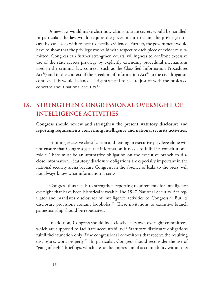A new law would make clear how claims to state secrets would be handled. In particular, the law would require the government to claim the privilege on a case-by-case basis with respect to specific evidence. Further, the government would have to show that the privilege was valid with respect to each piece of evidence submitted. Congress can further strengthen courts' willingness to confront excessive use of the state secrets privilege by explicitly extending procedural mechanisms used in the criminal law context (such as the Classified Information Procedures  $Act^{63})$  and in the context of the Freedom of Information  $Act^{64}$  to the civil litigation context. This would balance a litigant's need to secure justice with the professed concerns about national security.65

# **IX. Strengthen Congressional Oversight of Intelligence Activities**

**Congress should review and strengthen the present statutory disclosure and reporting requirements concerning intelligence and national security activities.**

Limiting excessive classification and reining in executive privilege alone will not ensure that Congress gets the information it needs to fulfill its constitutional role.<sup>66</sup> There must be an affirmative obligation on the executive branch to disclose information. Statutory disclosure obligations are especially important in the national security arena because Congress, in the absence of leaks to the press, will not always know what information it seeks.

Congress thus needs to strengthen reporting requirements for intelligence oversight that have been historically weak.<sup>67</sup> The 1947 National Security Act regulates and mandates disclosures of intelligence activities to Congress.<sup>68</sup> But its disclosure provisions contain loopholes.<sup>69</sup> These invitations to executive branch gamesmanship should be repudiated.

In addition, Congress should look closely at its own oversight committees, which are supposed to facilitate accountability.<sup>70</sup> Statutory disclosure obligations fulfill their function only if the congressional committees that receive the resulting disclosures work properly.71 In particular, Congress should reconsider the use of "gang of eight" briefings, which create the impression of accountability without its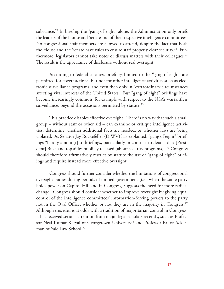substance.<sup>72</sup> In briefing the "gang of eight" alone, the Administration only briefs the leaders of the House and Senate and of their respective intelligence committees. No congressional staff members are allowed to attend, despite the fact that both the House and the Senate have rules to ensure staff properly clear security.73 Furthermore, legislators cannot take notes or discuss matters with their colleagues.74 The result is the appearance of disclosure without real oversight.

According to federal statutes, briefings limited to the "gang of eight" are permitted for covert actions, but not for other intelligence activities such as electronic surveillance programs, and even then only in "extraordinary circumstances affecting vital interests of the United States." But "gang of eight" briefings have become increasingly common, for example with respect to the NSA's warrantless surveillance, beyond the occasions permitted by statute.<sup>75</sup>

This practice disables effective oversight. There is no way that such a small group – without staff or other aid – can examine or critique intelligence activities, determine whether additional facts are needed, or whether laws are being violated. As Senator Jay Rockefeller (D-WV) has explained, "gang of eight" briefings "hardly amoun[t] to briefings, particularly in contrast to details that [President] Bush and top aides publicly released [about security programs]."76 Congress should therefore affirmatively restrict by statute the use of "gang of eight" briefings and require instead more effective oversight.

Congress should further consider whether the limitations of congressional oversight bodies during periods of unified government (i.e., when the same party holds power on Capitol Hill and in Congress) suggests the need for more radical change. Congress should consider whether to improve oversight by giving equal control of the intelligence committees' information-forcing powers to the party not in the Oval Office, whether or not they are in the majority in Congress.<sup>77</sup> Although this idea is at odds with a tradition of majoritarian control in Congress, it has received serious attention from major legal scholars recently, such as Professor Neal Kumar Katyal of Georgetown University<sup>78</sup> and Professor Bruce Ackerman of Yale Law School.79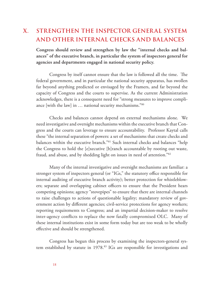# **X. Strengthen the Inspector General System and Other Internal Checks and Balances**

**Congress should review and strengthen by law the "internal checks and balances" of the executive branch, in particular the system of inspectors general for agencies and departments engaged in national security policy.**

Congress by itself cannot ensure that the law is followed all the time. The federal government, and in particular the national security apparatus, has swollen far beyond anything predicted or envisaged by the Framers, and far beyond the capacity of Congress and the courts to supervise. As the current Administration acknowledges, there is a consequent need for "strong measures to improve compliance [with the law] in … national security mechanisms."80

Checks and balances cannot depend on external mechanisms alone. We need investigative and oversight mechanisms within the executive branch that Congress and the courts can leverage to ensure accountability. Professor Kaytal calls these "the internal separation of powers: a set of mechanisms that create checks and balances within the executive branch."81 Such internal checks and balances "help the Congress to hold the [e]xecutive [b]ranch accountable by rooting out waste, fraud, and abuse, and by shedding light on issues in need of attention."82

Many of the internal investigative and oversight mechanisms are familiar: a stronger system of inspectors general (or "IGs," the statutory office responsible for internal auditing of executive branch activity); better protection for whistleblowers; separate and overlapping cabinet officers to ensure that the President hears competing opinions; agency "stovepipes" to ensure that there are internal channels to raise challenges to actions of questionable legality; mandatory review of government action by different agencies; civil-service protections for agency workers; reporting requirements to Congress; and an impartial decision-maker to resolve inter-agency conflicts to replace the now fatally compromised OLC. Many of these internal institutions exist in some form today but are too weak to be wholly effective and should be strengthened.

Congress has begun this process by examining the inspectors-general system established by statute in 1978.<sup>83</sup> IGs are responsible for investigations and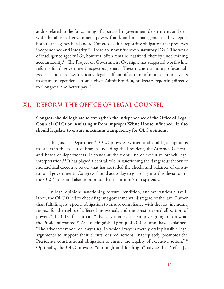audits related to the functioning of a particular government department, and deal with the abuse of government power, fraud, and mismanagement. They report both to the agency head and to Congress, a dual reporting obligation that preserves independence and integrity. $84$  There are now fifty-seven statutory IGs. $85$  The work of intelligence agency IGs, however, often remains classified, thereby undermining accountability.<sup>86</sup> The Project on Government Oversight has suggested worthwhile reforms for all government inspectors general. These include a more professionalized selection process, dedicated legal staff, an office term of more than four years to secure independence from a given Administration, budgetary reporting directly to Congress, and better pay.87

#### **XI. Reform the Office of Legal Counsel**

**Congress should legislate to strengthen the independence of the Office of Legal Counsel (OLC) by insulating it from improper White House influence. It also should legislate to ensure maximum transparency for OLC opinions.**

The Justice Department's OLC provides written and oral legal opinions to others in the executive branch, including the President, the Attorney General, and heads of departments. It stands at the front line of executive branch legal interpretation.88 It has played a central role in sanctioning the dangerous theory of monarchical executive power that has corroded the checks and balances of constitutional government. Congress should act today to guard against this deviation in the OLC's role, and also to promote that institution's transparency.

In legal opinions sanctioning torture, rendition, and warrantless surveillance, the OLC failed to check flagrant governmental disregard of the law. Rather than fulfilling its "special obligation to ensure compliance with the law, including respect for the rights of affected individuals and the constitutional allocation of powers," the OLC fell into an "advocacy model," i.e. simply signing off on what the President wanted.<sup>89</sup> As a distinguished group of OLC alumni have explained: "The advocacy model of lawyering, in which lawyers merely craft plausible legal arguments to support their clients' desired actions, inadequately promotes the President's constitutional obligation to ensure the legality of executive action."<sup>90</sup> Optimally, the OLC provides "thorough and forthright" advice that "reflect[s]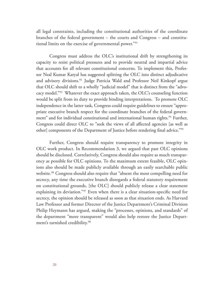all legal constraints, including the constitutional authorities of the coordinate branches of the federal government – the courts and Congress – and constitutional limits on the exercise of governmental power."91

Congress must address the OLC's institutional drift by strengthening its capacity to resist political pressures and to provide neutral and impartial advice that accounts for all relevant constitutional concerns. To implement this, Professor Neal Kumar Katyal has suggested splitting the OLC into distinct adjudicative and advisory divisions.92 Judge Patricia Wald and Professor Neil Kinkopf argue that OLC should shift to a wholly "judicial model" that is distinct from the "advocacy model."93 Whatever the exact approach taken, the OLC's counseling function would be split from its duty to provide binding interpretations. To promote OLC independence in the latter task, Congress could require guidelines to ensure "appropriate executive branch respect for the coordinate branches of the federal government" and for individual constitutional and international human rights.<sup>94</sup> Further, Congress could direct OLC to "seek the views of all affected agencies [as well as other] components of the Department of Justice before rendering final advice."95

Further, Congress should require transparency to promote integrity in OLC work product. In Recommendation 3, we argued that past OLC opinions should be disclosed. Correlatively, Congress should also require as much transparency as possible for OLC opinions. To the maximum extent feasible, OLC opinions also should be made publicly available through an easily searchable public website.<sup>96</sup> Congress should also require that "absent the most compelling need for secrecy, any time the executive branch disregards a federal statutory requirement on constitutional grounds, [the OLC] should publicly release a clear statement explaining its deviation."97 Even when there is a clear situation-specific need for secrecy, the opinion should be released as soon as that situation ends. As Harvard Law Professor and former Director of the Justice Department's Criminal Division Philip Heymann has argued, making the "processes, opinions, and standards" of the department "more transparent" would also help restore the Justice Department's tarnished credibility.<sup>98</sup>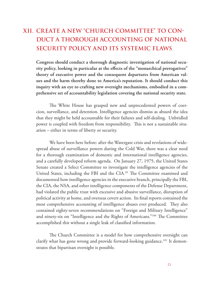# **XII. Create a New "Church Committee" To Conduct a Thorough Accounting of National Security Policy and its Systemic Flaws**

**Congress should conduct a thorough diagnostic investigation of national security policy, looking in particular at the effects of the "monarchical prerogatives" theory of executive power and the consequent departures from American values and the harm thereby done to America's reputation. It should conduct this inquiry with an eye to crafting new oversight mechanisms, embodied in a comprehensive set of accountability legislation covering the national security state.**

The White House has grasped new and unprecedented powers of coercion, surveillance, and detention. Intelligence agencies dismiss as absurd the idea that they might be held accountable for their failures and self-dealing. Unbridled power is coupled with freedom from responsibility. This is not a sustainable situation – either in terms of liberty or security.

We have been here before: after the Watergate crisis and revelations of widespread abuse of surveillance powers during the Cold War, there was a clear need for a thorough examination of domestic and international intelligence agencies, and a carefully developed reform agenda. On January 27, 1975, the United States Senate created a Select Committee to investigate the intelligence agencies of the United States, including the FBI and the CIA.<sup>99</sup> The Committee examined and documented how intelligence agencies in the executive branch, principally the FBI, the CIA, the NSA, and other intelligence components of the Defense Department, had violated the public trust with excessive and abusive surveillance, disruption of political activity at home, and overseas covert action. Its final reports contained the most comprehensive accounting of intelligence abuses ever produced. They also contained eighty-seven recommendations on "Foreign and Military Intelligence" and ninety-six on "Intelligence and the Rights of Americans."100 The Committee accomplished this without a single leak of classified information.

The Church Committee is a model for how comprehensive oversight can clarify what has gone wrong and provide forward-looking guidance.<sup>101</sup> It demonstrates that bipartisan oversight is possible.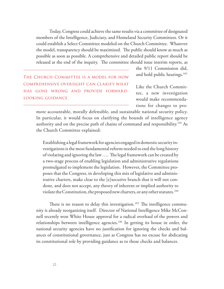Today, Congress could achieve the same results via a committee of designated members of the Intelligence, Judiciary, and Homeland Security Committees. Or it could establish a Select Committee modeled on the Church Committee. Whatever the model, transparency should be maximized. The public should know as much as possible as soon as possible. A comprehensive and detailed public report should be released at the end of the inquiry. The committee should issue interim reports, as

THE CHURCH COMMITTEE IS A MODEL FOR HOW comprehensive oversight can clarify what has gone wrong and provide forwardlooking guidance.

the 9/11 Commission did, and hold public hearings.<sup>102</sup>

Like the Church Committee, a new investigation would make recommendations for changes to pro-

mote accountable, morally defensible, and sustainable national security policy. In particular, it would focus on clarifying the bounds of intelligence agency authority and on the precise path of chains of command and responsibility.103 As the Church Committee explained:

Establishing a legal framework for agencies engaged in domestic security investigations is the most fundamental reform needed to end the long history of violating and ignoring the law …. The legal framework can be created by a two-stage process of enabling legislation and administrative regulations promulgated to implement the legislation. However, the Committee proposes that the Congress, in developing this mix of legislative and administrative charters, make clear to the [e]xecutive branch that it will not condone, and does not accept, any theory of inherent or implied authority to violate the Constitution, the proposed new charters, or any other statutes.104

There is no reason to delay this investigation.<sup>105</sup> The intelligence community is already reorganizing itself. Director of National Intelligence Mike McConnell recently won White House approval for a radical overhaul of the powers and relationships between intelligence agencies.106 In getting its house in order, the national security agencies have no justification for ignoring the checks and balances of constitutional governance, just as Congress has no excuse for abdicating its constitutional role by providing guidance as to those checks and balances.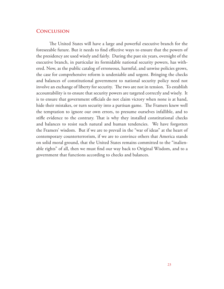#### **Conclusion**

The United States will have a large and powerful executive branch for the foreseeable future. But it needs to find effective ways to ensure that the powers of the presidency are used wisely and fairly. During the past six years, oversight of the executive branch, in particular its formidable national security powers, has withered. Now, as the public catalog of erroneous, harmful, and unwise policies grows, the case for comprehensive reform is undeniable and urgent. Bringing the checks and balances of constitutional government to national security policy need not involve an exchange of liberty for security. The two are not in tension. To establish accountability is to ensure that security powers are targeted correctly and wisely. It is to ensure that government officials do not claim victory when none is at hand, hide their mistakes, or turn security into a partisan game. The Framers knew well the temptation to ignore our own errors, to presume ourselves infallible, and to stifle evidence to the contrary. That is why they installed constitutional checks and balances to resist such natural and human tendencies. We have forgotten the Framers' wisdom. But if we are to prevail in the "war of ideas" at the heart of contemporary counterterrorism, if we are to convince others that America stands on solid moral ground, that the United States remains committed to the "inalienable rights" of all, then we must find our way back to Original Wisdom, and to a government that functions according to checks and balances.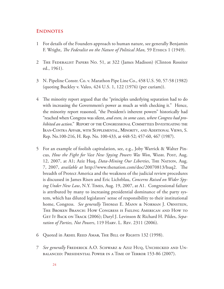#### **ENDNOTES**

- 1 For details of the Founders approach to human nature, see generally Benjamin F. Wright, *The Federalist on the Nature of Political Man,* 59 Ethics 1 (1949).
- 2 The Federalist Papers No. 51, at 322 (James Madison) (Clinton Rossiter ed., 1961).
- 3 N. Pipeline Constr. Co. v. Marathon Pipe Line Co., 458 U.S. 50, 57-58 (1982) (quoting Buckley v. Valeo, 424 U.S. 1, 122 (1976) (per curiam)).
- 4 The minority report argued that the "principles underlying separation had to do with increasing the Government's power as much as with checking it." Hence, the minority report reasoned, "the President's inherent powers" historically had "reached when Congress was silent, *and even, in some cases, where Congress had prohibited an action.*" REPORT OF THE CONGRESSIONAL COMMITTEES INVESTIGATING THE Iran-Contra Affair, with Supplemental, Minority, and Additional Views, S. Rep. No.100-216, H. Rep. No. 100-433, at 448-52; 457-60, 467 (1987).
- 5 For an example of foolish capitulation, see, e.g., Joby Warrick & Walter Pincus, *How the Fight for Vast New Spying Powers Was Won*, Wash. Post, Aug. 12, 2007, at A1; Aziz Huq, *Data-Mining Our Liberties*, The Nation, Aug. 7, 2007, *available at* http://www.thenation.com/doc/20070813/huq2. The breadth of Protect America and the weakness of the judicial review procedures is discussed in James Risen and Eric Lichtblau, *Concerns Raised on Wider Spying Under New Law*, N.Y. Times, Aug. 19, 2007, at A1. Congressional failure is attributed by many to increasing presidential dominance of the party system, which has diluted legislators' sense of responsibility to their institutional home, Congress. *See generally* Thomas E. Mann & Norman J. Ornstein, The Broken Branch: How Congress is Failing American and How to GET IT BACK ON TRACK (2006); Daryl J. Levinson & Richard H. Pildes, Sepa*ration of Parties, Not Powers*, 119 Harv. L. Rev. 2311 (2006).
- 6 Quoted in Akhil Reed Amar, The Bill of Rights 132 (1998).
- 7 *See generally* Frederick A.O. Schwarz & Aziz Huq, Unchecked and Unbalanced: Presidential Power in a Time of Terror 153-86 (2007).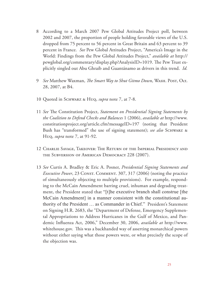- 8 According to a March 2007 Pew Global Attitudes Project poll, between 2002 and 2007, the proportion of people holding favorable views of the U.S. dropped from 75 percent to 56 percent in Great Britain and 63 percent to 39 percent in France. *See* Pew Global Attitudes Project, "America's Image in the World: Findings from the Pew Global Attitudes Project," *available at* http:// pewglobal.org/commentary/display.php?AnalysisID=1019. The Pew Trust explicitly singled out Abu Ghraib and Guantánamo as drivers in this trend. *Id.*
- 9 *See* Matthew Waxman, *The Smart Way to Shut Gitmo Down*, Wash. Post, Oct. 28, 2007, at B4.
- 10 Quoted in Schwarz & Huq, *supra* note 7, at 7-8.
- 11 *See* The Constitution Project, *Statement on Presidential Signing Statements by the Coalition to Defend Checks and Balances* 1 (2006), *available at* http://www. constitutionproject.org/article.cfm?messageID=197 (noting that President Bush has "transformed" the use of signing statement); *see also* Schwarz & Huq, *supra* note 7, at 91-92.
- 12 Charlie Savage, Takeover: The Return of the Imperial Presidency and the Subversion of American Democracy 228 (2007).
- 13 *See* Curtis A. Bradley & Eric A. Posner, *Presidential Signing Statements and Executive Power*, 23 CONST. COMMENT. 307, 317 (2006) (noting the practice of simultaneously objecting to multiple provisions). For example, responding to the McCain Amendment barring cruel, inhuman and degrading treatment, the President stated that "[t]he executive branch shall construe [the McCain Amendment] in a manner consistent with the constitutional authority of the President … as Commander in Chief." President's Statement on Signing H.R. 2683, the "Department of Defense, Emergency Supplemental Appropriations to Address Hurricanes in the Gulf of Mexico, and Pandemic Influenza Act, 2006," December 30, 2006, *available at* http://www. whitehouse.gov. This was a backhanded way of asserting monarchical powers without either saying what those powers were, or what precisely the scope of the objection was.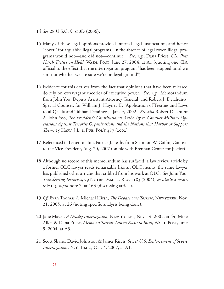- 14 *See* 28 U.S.C. § 530D (2006).
- 15 Many of these legal opinions provided internal legal justification, and hence "cover," for arguably illegal programs. In the absence of legal cover, illegal programs would not—and did not—continue. *See, e.g.*, Dana Priest, *CIA Puts Harsh Tactics on Hold*, WASH. POST, June 27, 2004, at A1 (quoting one CIA official to the effect that the interrogation program "has been stopped until we sort out whether we are sure we're on legal ground").
- 16 Evidence for this derives from the fact that opinions that have been released do rely on extravagant theories of executive power. *See, e.g.,* Memorandum from John Yoo, Deputy Assistant Attorney General, and Robert J. Delahunty, Special Counsel, for William J. Haynes II, "Application of Treaties and Laws to al Qaeda and Taliban Detainees," Jan. 9, 2002. *See also* Robert Delahunt & John Yoo, *The President's Constitutional Authority to Conduct Military Operations Against Terrorist Organizations and the Nations that Harbor or Support Them*, 25 Harv. J.L. & Pub. Pol'y 487 (2002).
- 17 Referenced in Letter to Hon. Patrick J. Leahy from Shannon W. Coffin, Counsel to the Vice President, Aug. 20, 2007 (on file with Brennan Center for Justice).
- 18 Although no record of this memorandum has surfaced, a law review article by a former OLC lawyer reads remarkably like an OLC memo; the same lawyer has published other articles that cribbed from his work at OLC. *See* John Yoo, *Transferring Terrorists*, 79 Notre Dame L. Rev. 1183 (2004); *see also* Schwarz & Huq, *supra* note 7, at 163 (discussing article).
- 19 *Cf.* Evan Thomas & Michael Hirsh, *The Debate over Torture*, Newsweek, Nov. 21, 2005, at 26 (noting specific analysis being done).
- 20 Jane Mayer, *A Deadly Interrogation*, New Yorker, Nov. 14, 2005, at 44; Mike Allen & Dana Priest, *Memo on Torture Draws Focus to Bush*, Wash. Post, June 9, 2004, at A3.
- 21 Scott Shane, David Johnston & James Risen, *Secret U.S. Endorsement of Severe Interrogations*, N.Y. Times, Oct. 4, 2007, at A1.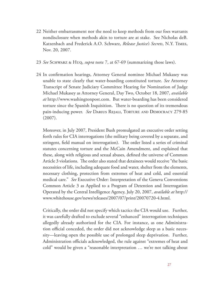- 22 Neither embarrassment nor the need to keep methods from our foes warrants nondisclosure when methods akin to torture are at stake. See Nicholas deB. Katzenbach and Frederick A.O. Schwarz, *Release Justice's Secrets*, N.Y. Times, Nov. 20, 2007.
- 23 *See* Schwarz & Huq, *supra* note 7, at 67-69 (summarizing those laws).
- 24 In confirmation hearings, Attorney General nominee Michael Mukasey was unable to state clearly that water-boarding constituted torture. *See* Attorney Transcript of Senate Judiciary Committee Hearing for Nomination of Judge Michael Mukasey as Attorney General, Day Two, October 18, 2007, *available at* http://www.washingtonpost.com. But water-boarding has been considered torture since the Spanish Inquisition. There is no question of its tremendous pain-inducing power. *See* Darius Rejali, Torture and Democracy 279-85 (2007).

Moreover, in July 2007, President Bush promulgated an executive order setting forth rules for CIA interrogations (the military being covered by a separate, and stringent, field manual on interrogation). The order listed a series of criminal statutes concerning torture and the McCain Amendment, and explained that these, along with religious and sexual abuses, defined the universe of Common Article 3 violations. The order also stated that detainees would receive "the basic necessities of life, including adequate food and water, shelter from the elements, necessary clothing, protection from extremes of heat and cold, and essential medical care." *See* Executive Order: Interpretation of the Geneva Conventions Common Article 3 as Applied to a Program of Detention and Interrogation Operated by the Central Intelligence Agency, July 20, 2007, *available at* http:// www.whitehouse.gov/news/releases/2007/07/print/20070720-4.html.

Critically, the order did not specify which tactics the CIA would use. Further, it was carefully drafted to exclude several "enhanced" interrogation techniques allegedly already authorized for the CIA. For instance, as one Administration official conceded, the order did not acknowledge sleep as a basic necessity—leaving open the possible use of prolonged sleep deprivation. Further, Administration officials acknowledged, the rule against "extremes of heat and cold" would be given a "reasonable interpretation … we're not talking about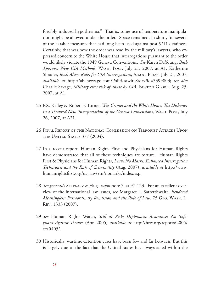forcibly induced hypothermia." That is, some use of temperature manipulation might be allowed under the order. Space remained, in short, for several of the harsher measures that had long been used against post-9/11 detainees. Certainly, that was how the order was read by the military's lawyers, who expressed concern to the White House that interrogations pursuant to the order would likely violate the 1949 Geneva Conventions. *See* Karen DeYoung, *Bush Approves New CIA Methods*, Wash. Post, July 21, 2007, at A1; Katherine Shrader, *Bush Alters Rules for CIA Interrogations*, Assoc. Press, July 21, 2007, *available at* http://abcnews.go.com/Politics/wireStory?id=3399803; *see also* Charlie Savage, *Military cites risk of abuse by CIA*, Boston GLOBE, Aug. 25, 2007, at A1.

- 25 P.X. Kelley & Robert F. Turner, *War Crimes and the White House: The Dishonor in a Tortured New 'Interpretation' of the Geneva Conventions*, Wash. Post, July 26, 2007, at A21.
- 26 Final Report of the National Commission on Terrorist Attacks Upon THE UNITED STATES 377 (2004).
- 27 In a recent report, Human Rights First and Physicians for Human Rights have demonstrated that all of these techniques are torture. Human Rights First & Physicians for Human Rights, *Leave No Marks: Enhanced Interrogation Techniques and the Risk of Criminality* (Aug. 2007), *available at* http://www. humanrightsfirst.org/us\_law/etn/nomarks/index.asp.
- 28 *See generally* Schwarz & Huq, *supra* note 7, at 97-123. For an excellent overview of the international law issues, see Margaret L. Satterthwaite, *Rendered Meaningless: Extraordinary Rendition and the Rule of Law*, 75 Geo. Wash. L. Rev. 1333 (2007).
- 29 *See* Human Rights Watch, *Still at Risk: Diplomatic Assurances No Safeguard Against Torture* (Apr. 2005) *available at* http://hrw.org/reports/2005/ eca0405/.
- 30 Historically, wartime detention cases have been few and far between. But this is largely due to the fact that the United States has always acted within the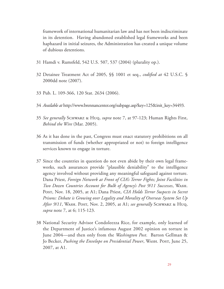framework of international humanitarian law and has not been indiscriminate in its detention. Having abandoned established legal frameworks and been haphazard in initial seizures, the Administration has created a unique volume of dubious detentions.

- 31 Hamdi v. Rumsfeld, 542 U.S. 507, 537 (2004) (plurality op.).
- 32 Detainee Treatment Act of 2005, §§ 1001 et seq., *codified at* 42 U.S.C. § 2000dd note (2007).
- 33 Pub. L. 109-366, 120 Stat. 2634 (2006).
- 34 *Available at* http://www.brennancenter.org/subpage.asp?key=125&init\_key=34493.
- 35 *See generally* Schwarz & Huq, *supra* note 7, at 97-123; Human Rights First, *Behind the Wire* (Mar. 2005).
- 36 As it has done in the past, Congress must enact statutory prohibitions on all transmission of funds (whether appropriated or not) to foreign intelligence services known to engage in torture.
- 37 Since the countries in question do not even abide by their own legal frameworks, such assurances provide "plausible deniability" to the intelligence agency involved without providing any meaningful safeguard against torture. Dana Priest, *Foreign Network at Front of CIA's Terror Fights; Joint Facilities in Two Dozen Countries Account for Bulk of Agency's Post 9/11 Successes*, Wash. Post, Nov. 18, 2005, at A1; Dana Priest, *CIA Holds Terror Suspects in Secret Prisons: Debate is Growing over Legality and Morality of Overseas System Set Up After 9/11*, Wash. Post, Nov. 2, 2005, at A1; *see generally* Schwarz & Huq, *supra* note 7, at 6; 115-123.
- 38 National Security Advisor Condoleezza Rice, for example, only learned of the Department of Justice's infamous August 2002 opinion on torture in June 2004—and then only from the *Washington Post*. Barton Gellman & Jo Becker, Pushing the Envelope on Presidential Power, WASH. POST, June 25, 2007, at A1.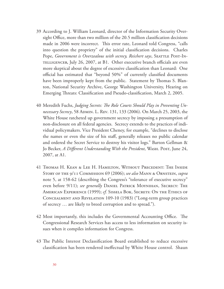- 39 According to J. William Leonard, director of the Information Security Oversight Office, more than two million of the 20.5 million classification decisions made in 2006 were incorrect. This error rate, Leonard told Congress, "calls into question the propriety" of the initial classification decisions. Charles Pope, *Government is Overzealous with secrecy*, *Reichert says*, *SEATTLE POST-IN-*TELLIGENCER, July 26, 2007, at B1. Other executive branch officials are even more skeptical about the degree of excessive classification than Leonard: One official has estimated that "beyond 50%" of currently classified documents have been improperly kept from the public. Statement by Thomas S. Blanton, National Security Archive, George Washington University, Hearing on Emerging Threats: Classification and Pseudo-classification, March 2, 2005.
- 40 Meredith Fuchs, *Judging Secrets: The Role Courts Should Play in Preventing Unnecessary Secrecy*, 58 Admin. L. Rev. 131, 133 (2006). On March 25, 2003, the White House ratcheted up government secrecy by imposing a presumption of non-disclosure on all federal agencies. Secrecy extends to the practices of individual policymakers. Vice President Cheney, for example, "declines to disclose the names or even the size of his staff, generally releases no public calendar and ordered the Secret Service to destroy his visitor logs." Barton Gellman & Jo Becker, *A Different Understanding With the President*, Wash. Post, June 24, 2007, at A1.
- 41 Thomas H. Kean & Lee H. Hamilton, Without Precedent: The Inside Story of the 9/11 Commission 69 (2006); *see also* Mann & Ornstein, *supra*  note 5, at 158-62 (describing the Congress's "tolerance of executive secrecy" even before 9/11); *see generally* Daniel Patrick Moynihan, Secrecy: The American Experience (1999); *cf.* Sissela Bok, Secrets: On the Ethics of Concealment and Revelation 109-10 (1983) ("Long-term group practices of secrecy … are likely to breed corruption and to spread.").
- 42 Most importantly, this includes the Governmental Accounting Office. The Congressional Research Services has access to less information on security issues when it compiles information for Congress.
- 43 The Public Interest Declassification Board established to reduce excessive classification has been rendered ineffectual by White House control. Shaun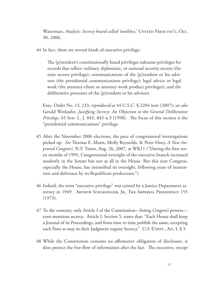Waterman, *Analysis: Secrecy board called 'toothless*,' UNITED PRESS INT'L, Oct. 30, 2006.

44 In fact, there are several kinds of executive privilege:

 The [p]resident's constitutionally based privileges subsume privileges for records that reflect: military, diplomatic, or national security secrets (the state secrets privilege); communications of the [p]resident or his advisors (the presidential communications privilege); legal advice or legal work (the attorney-client or attorney work product privileges); and the deliberative processes of the [p]resident or his advisors.

Exec. Order No. 13, 233, *reproduced at* 44 U.S.C. § 2204 note (2007); *see also*  Gerald Wetlaufer, *Justifying Secrecy: An Objection to the General Deliberative Privilege*, 65 Ind. L. J. 845, 845 n.3 (1990). The focus of this section is the "presidential communications" privilege.

- 45 After the November 2006 elections, the pace of congressional investigations picked up. *See* Thomas E. Mann, Molly Reynolds, & Peter Hoey, *A New Improved Congress?*, N.Y. Times, Aug. 26, 2007, at WK11 ("During the first seven months of 1995, Congressional oversight of the executive branch increased modestly in the Senate but not at all in the House. But this year Congress, especially the House, has intensified its oversight, following years of inattention and deference by its Republican predecessor.").
- 46 Indeed, the term "executive privilege" was coined by a Justice Department attorney in 1949. ARTHUR SCHLESINGER, JR., THE IMPERIAL PRESIDENCY 155 (1973).
- 47 To the contrary, only Article I of the Constitution—listing *Congress's* powers even mentions secrecy. Article I, Section 5, states that: "Each House shall keep a Journal of its Proceedings, and from time to time publish the same, excepting such Parts as may in their Judgment require Secrecy." U.S. CONST., Art. I, § 5.
- 48 While the Constitution contains no affirmative obligation of disclosure, it does protect the free-flow of information after the fact. The executive, except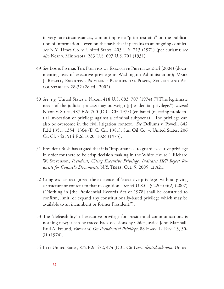in very rare circumstances, cannot impose a "prior restraint" on the publication of information—even on the basis that it pertains to an ongoing conflict. *See* N.Y. Times Co. v. United States, 403 U.S. 713 (1971) (per curiam); *see also* Near v. Minnesota, 283 U.S. 697 U.S. 701 (1931).

- 49 *See* Louis Fisher, The Politics of Executive Privilege 2-24 (2004) (documenting uses of executive privilege in Washington Administration); Mark J. Rozell, Executive Privilege: Presidential Power, Secrecy and Accountability 28-32 (2d ed., 2002).
- 50 *See, e.g.* United States v. Nixon, 418 U.S. 683, 707 (1974) ("[T]he legitimate needs of the judicial process may outweigh [p]residential privilege."); *accord*  Nixon v. Sirica, 487 F.2d 700 (D.C. Cir. 1973) (en banc) (rejecting presidential invocation of privilege against a criminal subpoena). The privilege can also be overcome in the civil litigation context. *See* Dellums v. Powell, 642 F.2d 1351, 1354, 1364 (D.C. Cir. 1981); Sun Oil Co. v. United States, 206 Ct. Cl. 742, 514 F.2d 1020, 1024 (1975).
- 51 President Bush has argued that it is "important … to guard executive privilege in order for there to be crisp decision making in the White House." Richard W. Stevenson, *President, Citing Executive Privilege, Indicates He'll Reject Requests for Counsel's Documents*, N.Y. Times, Oct. 5, 2005, at A21.
- 52 Congress has recognized the existence of "executive privilege" without giving a structure or content to that recognition. *See* 44 U.S.C. § 2204(c)(2) (2007) ("Nothing in [the Presidential Records Act of 1978] shall be construed to confirm, limit, or expand any constitutionally-based privilege which may be available to an incumbent or former President.").
- 53 The "defeasibility" of executive privilege for presidential communications is nothing new; it can be traced back decisions by Chief Justice John Marshall. Paul A. Freund, *Foreword: On Presidential Privilege*, 88 Harv. L. Rev. 13, 30- 31 (1974).
- 54 In re United States, 872 F.2d 472, 474 (D.C. Cir.) *cert. denied sub nom.* United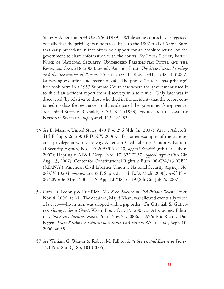States v. Albertson, 493 U.S. 960 (1989). While some courts have suggested casually that the privilege can be traced back to the 1807 trial of Aaron Burr, that early precedent in fact offers no support for an absolute refusal by the government to share information with the courts. *See* Louis Fisher, In the Name of National Security: Unchecked Presidential Power and the Reynolds Case 218 (2006); *see also* Amanda Frost, *The State Secrets Privilege*  and the Separation of Powers, 75 FORDHAM L. REV. 1931, 1938-51 (2007) (surveying evolution and recent cases). The phrase "state secrets privilege" first took form in a 1953 Supreme Court case where the government used it to shield an accident report from discovery in a tort suit. Only later was it discovered (by relatives of those who died in the accident) that the report contained no classified evidence—only evidence of the government's negligence. *See* United States v. Reynolds, 345 U.S. 1 (1953); Fisher, In the Name of National Security, *supra***,** at xi, 113, 181-82.

- 55 *See* El Masri v. United States, 479 F.3d 296 (4th Cir. 2007); Arar v. Ashcroft, 414 F. Supp. 2d 250 (E.D.N.Y. 2006). For other examples of the state secrets privilege at work, see *e.g.,* American Civil Liberties Union v. National Security Agency, Nos. 06-2095/05-2140, *appeal decided* (6th Cir. July 6, 2007); Hepting v. AT&T Corp., Nos. 17132/17137, *appeal argued* (9th Cir. Aug. 13, 2007); Center for Constitutional Rights v. Bush, 06-CV-313 (GEL) (S.D.N.Y.); American Civil Liberties Union v. National Security Agency, No. 06-CV-10204, *opinion at* 438 F. Supp. 2d 754 (E.D. Mich. 2006), *rev'd*, Nos. 06-2095/06-2140, 2007 U.S. App. LEXIS 16149 (6th Cir. July 6, 2007).
- 56 Carol D. Leonnig & Eric Rich, *U.S. Seeks Silence on CIA Prisons*, Wash. Post, Nov. 4, 2006, at A1. The detainee, Majid Khan, was allowed eventually to see a lawyer—who in turn was slapped with a gag order. *See* Gitanjali S. Gutierrez, *Going to See a Ghost*, Wash. Post, Oct. 15, 2007, at A15; *see also* Editorial, *Top Secret Torture*, Wash. Post, Nov. 21, 2006, at A26; Eric Rich & Dan Eggen, *From Baltimore Suburbs to a Secret CIA Prison*, WASH. POST, Sept. 10, 2006, at A8.
- 57 *See* William G. Weaver & Robert M. Pallito, *State Secrets and Executive Power*, 120 Pol. Sci. Q. 85, 101 (2005).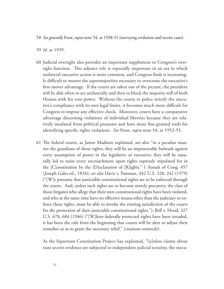- 58 *See generally* Frost, *supra* note 54, at 1938-51 (surveying evolution and recent cases).
- 59 *Id.* at 1939.
- 60 Judicial oversight also provides an important supplement to Congress's oversight function. This adjunct role is especially important in an era in which unilateral executive action is more common, and Congress finds it increasingly difficult to muster the supermajorities necessary to overcome the executive's first-mover advantage. If the courts are taken out of the picture, the president will be able often to act unilaterally and then to block the majority will of both Houses with his veto power. Without the courts to police strictly the executive's compliance with its own legal limits, it becomes much more difficult for Congress to impose any effective check. Moreover, courts have a comparative advantage discerning violations of individual liberties because they are relatively insulated from political pressures and have more fine-grained tools for identifying specific rights violations. *See* Frost, *supra* note 54, at 1952-53.
- 61 The federal courts, as James Madison explained, are also "in a peculiar manner the guardians of those rights; they will be an impenetrable bulwark against every assumption of power in the legislative or executive; they will be naturally led to resist every encroachment upon rights expressly stipulated for in the [C]onstitution by the [D]eclaration of [R]ights." 1 Annals of Cong. 457 (Joseph Gales ed., 1834); *see also* Davis v. Passman, 442 U.S. 228, 242 (1979) ("[W]e presume that justiciable constitutional rights are to be enforced through the courts. And, unless such rights are to become merely precatory, the class of those litigants who allege that their own constitutional rights have been violated, and who at the same time have no effective means other than the judiciary to enforce these rights, must be able to invoke the existing jurisdiction of the courts for the protection of their justiciable constitutional rights."); Bell v. Hood, 327 U.S. 678, 684 (1946) ("[W]here federally protected rights have been invaded, it has been the rule from the beginning that courts will be alert to adjust their remedies so as to grant the necessary relief." (citations omitted)).

As the bipartisan Constitution Project has explained, "[u]nless claims about state secrets evidence are subjected to independent judicial scrutiny, the execu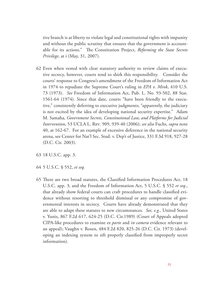tive branch is at liberty to violate legal and constitutional rights with impunity and without the public scrutiny that ensures that the government is accountable for its actions." The Constitution Project, *Reforming the State Secrets Privilege*, at i (May, 31, 2007).

- 62 Even when vested with clear statutory authority to review claims of executive secrecy, however, courts tend to shirk this responsibility. Consider the courts' response to Congress's amendment of the Freedom of Information Act in 1974 to repudiate the Supreme Court's ruling in *EPA v. Mink*, 410 U.S. 73 (1973). *See* Freedom of Information Act, Pub. L. No. 93-502, 88 Stat. 1561-64 (1974). Since that date, courts "have been friendly to the executive," consistently deferring to executive judgments; "apparently, the judiciary is not excited by the idea of developing national security expertise." Adam M. Samaha, *Government Secrets, Constitutional Law, and Platforms for Judicial Intervention*, 53 UCLA L. Rev. 909, 939-40 (2006); *see also* Fuchs, *supra* note 40, at 162-67. For an example of excessive deference in the national security arena, see Center for Nat'l Sec. Stud. v. Dep't of Justice, 331 F.3d 918, 927-28 (D.C. Cir. 2003).
- 63 18 U.S.C. app. 3.
- 64 5 U.S.C. § 552, *et seq.*
- 65 There are two broad statutes, the Classified Information Procedures Act, 18 U.S.C. app. 3, and the Freedom of Information Act, 5 U.S.C. § 552 *et seq.*, that already show federal courts can craft procedures to handle classified evidence without resorting to threshold dismissal or any compromise of governmental interests in secrecy. Courts have already demonstrated that they are able to adapt these statutes to new circumstances. *See, e.g.,* United States v. Yunis, 867 F.2d 617, 624-25 (D.C. Cir.1989) (Court of Appeals adopted CIPA-like procedures to examine *ex parte* and *in camera* evidence relevant to an appeal); Vaughn v. Rosen, 484 F.2d 820, 825-26 (D.C. Cir. 1973) (developing an indexing system to sift properly classified from improperly secret information).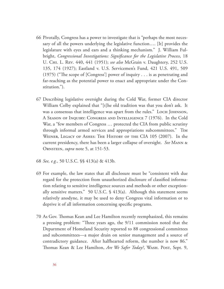- 66 Pivotally, Congress has a power to investigate that is "perhaps the most necessary of all the powers underlying the legislative function…. [It] provides the legislature with eyes and ears and a thinking mechanism."J. William Fulbright, *Congressional Investigations: Significance for the Legislative Process*, 18 U. Chi. L. Rev. 440, 441 (1951); *see also* McGrain v. Daughtery, 252 U.S. 135, 174 (1927); Eastland v. U.S. Servicemen's Fund, 421 U.S. 491, 509 (1975) ("The scope of [Congress'] power of inquiry . . . is as penetrating and far-reaching as the potential power to enact and appropriate under the Constitution.").
- 67 Describing legislative oversight during the Cold War, former CIA director William Colby explained that "[t]he old tradition was that you don't ask. It was a consensus that intelligence was apart from the rules." Loch JOHNSON, A Season of Inquiry: Congress and Intelligence 7 (1976). In the Cold War, a "few members of Congress … protected the CIA from public scrutiny through informal armed services and appropriations subcommittees." Tim Weiner, Legacy of Ashes: The History of the CIA 105 (2007). In the current presidency, there has been a larger collapse of oversight. *See* Mann & Ornstein, *supra* note 5, at 151-53.
- 68 *See, e.g.,* 50 U.S.C. §§ 413(a) & 413b.
- 69 For example, the law states that all disclosure must be "consistent with due regard for the protection from unauthorized disclosure of classified information relating to sensitive intelligence sources and methods or other exceptionally sensitive matters." 50 U.S.C. § 413(a). Although this statement seems relatively anodyne, it may be used to deny Congress vital information or to deprive it of all information concerning specific programs.
- 70 As Gov. Thomas Kean and Lee Hamilton recently reemphasized, this remains a pressing problem: "Three years ago, the 9/11 commission noted that the Department of Homeland Security reported to 88 congressional committees and subcommittees—a major drain on senior management and a source of contradictory guidance. After halfhearted reform, the number is now 86." Thomas Kean & Lee Hamilton, *Are We Safer Today?*, WASH. Post, Sept. 9,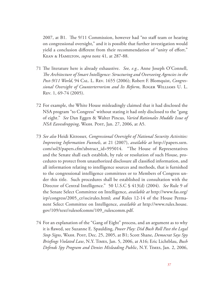2007, at B1. The 9/11 Commission, however had "no staff team or hearing on congressional oversight," and it is possible that further investigation would yield a conclusion different from their recommendation of "unity of effort." Kean & Hamilton, *supra* note 41*,* at 287-88.

- 71 The literature here is already exhaustive. *See, e.g.,* Anne Joseph O'Connell, *The Architecture of Smart Intelligence: Structuring and Overseeing Agencies in the Post-9/11 World*, 94 Cal. L. Rev. 1655 (2006); Robert F. Blomquist, *Congressional Oversight of Counterterrorism and Its Reform*, Roger Williams U. L. Rev. 1, 69-74 (2005).
- 72 For example, the White House misleadingly claimed that it had disclosed the NSA program "to Congress" without stating it had only disclosed to the "gang of eight." *See* Dan Eggen & Walter Pincus, *Varied Rationales Muddle Issue of NSA Eavesdropping*, Wash. Post, Jan. 27, 2006, at A5.
- 73 *See also* Heidi Kitrosser, *Congressional Oversight of National Security Activities: Improving Information Funnels*, at 21 (2007), *available at* http://papers.ssrn. com/sol3/papers.cfm?abstract\_id=995014. "The House of Representatives and the Senate shall each establish, by rule or resolution of such House, procedures to protect from unauthorized disclosure all classified information, and all information relating to intelligence sources and methods, that is furnished to the congressional intelligence committees or to Members of Congress under this title. Such procedures shall be established in consultation with the Director of Central Intelligence." 50 U.S.C § 413(d) (2004). *See* Rule 9 of the Senate Select Committee on Intelligence, *available at* http://www.fas.org/ irp/congress/2005\_cr/sscirules.html; *and* Rules 12-14 of the House Permanent Select Committee on Intelligence, *available at* http://www.rules.house. gov/109/text/rulesofcomm/109\_rulescomm.pdf.
- 74 For an explanation of the "Gang of Eight" process, and an argument as to why it is flawed, see Suzanne E. Spaulding, *Power Play: Did Bush Roll Past the Legal Stop Signs*, Wash. Post, Dec. 25, 2005, at B1; Scott Shane, *Democrat Says Spy Briefings Violated Law*, N.Y. Times, Jan. 5, 2006, at A16; Eric Lichtblau, *Bush Defends Spy Program and Denies Misleading Public*, N.Y. Times, Jan. 2, 2006,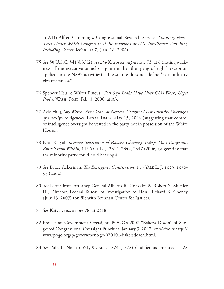at A11; Alfred Cummings, Congressional Research Service, *Statutory Procedures Under Which Congress Is To Be Informed of U.S. Intelligence Activities, Including Covert Actions*, at 7, (Jan. 18, 2006).

- 75 *See* 50 U.S.C. §413b(c)(2); *see also* Kitrosser, *supra* note 73, at 6 (noting weakness of the executive branch's argument that the "gang of eight" exception applied to the NSA's activities). The statute does not define "extraordinary circumstances."
- 76 Spencer Hsu & Walter Pincus, *Goss Says Leaks Have Hurt CIA's Work, Urges Probe*, WASH. POST, Feb. 3, 2006, at A3.
- 77 Aziz Huq, *Spy Watch: After Years of Neglect, Congress Must Intensify Oversight of Intelligence Agencies*, Legal Times, May 15, 2006 (suggesting that control of intelligence oversight be vested in the party not in possession of the White House).
- 78 Neal Katyal, *Internal Separation of Powers: Checking Today's Most Dangerous Branch from Within*, 115 Yale L. J. 2314, 2342, 2347 (2006) (suggesting that the minority party could hold hearings).
- 79 *See* Bruce Ackerman, *The Emergency Constitution*, 113 Yale L. J. 1029, 1050- 53 (2004).
- 80 *See* Letter from Attorney General Alberto R. Gonzales & Robert S. Mueller III, Director, Federal Bureau of Investigation to Hon. Richard B. Cheney (July 13, 2007) (on file with Brennan Center for Justice).
- 81 *See* Katyal, *supra* note 78, at 2318.
- 82 Project on Government Oversight, POGO's 2007 "Baker's Dozen" of Suggested Congressional Oversight Priorities, January 3, 2007, *available at* http:// www.pogo.org/p/government/go-070101-bakersdozen.html.
- 83 *See* Pub. L. No. 95-521, 92 Stat. 1824 (1978) (codified as amended at 28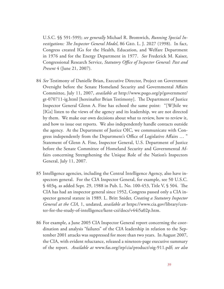U.S.C. §§ 591-599); *see generally* Michael R. Bromwich, *Running Special Investigations: The Inspector General Model*, 86 Geo. L. J. 2027 (1998). In fact, Congress created IGs for the Health, Education, and Welfare Department in 1976 and for the Energy Department in 1977. *See* Frederick M. Kaiser, Congressional Research Service, *Statutory Office of Inspector General: Past and Present* 4 (June 21, 2007).

- 84 *See* Testimony of Danielle Brian, Executive Director, Project on Government Oversight before the Senate Homeland Security and Governmental Affairs Committee, July 11, 2007, *available at* http://www.pogo.org/p/government/ gt-070711-ig.html [hereinafter Brian Testimony]. The Department of Justice Inspector General Glenn A. Fine has echoed the same point: "[W]hile we [IGs] listen to the views of the agency and its leadership, we are not directed by them. We make our own decisions about what to review, how to review it, and how to issue out reports. We also independently handle contacts outside the agency. At the Department of Justice OIC, we communicate with Congress independently from the Department's Office of Legislative Affairs … " Statement of Glenn A. Fine, Inspector General, U.S. Department of Justice before the Senate Committee of Homeland Security and Governmental Affairs concerning Strengthening the Unique Role of the Nation's Inspectors General, July 11, 2007.
- 85 Intelligence agencies, including the Central Intelligence Agency, also have inspectors general. For the CIA Inspector General, for example, see 50 U.S.C. § 403q, as added Sept. 29, 1988 in Pub. L. No. 100-453, Title V, § 504. The CIA has had an inspector general since 1952, Congress passed only a CIA inspector general statute in 1989. L. Britt Snider, *Creating a Statutory Inspector General at the CIA*, 1, undated, *available at* https://www.cia.gov/library/center-for-the-study-of-intelligence/kent-csi/docs/v44i5a02p.htm.
- 86 For example, a June 2005 CIA Inspector General report concerning the coordination and analysis "failures" of the CIA leadership in relation to the September 2001 attacks was suppressed for more than two years. In August 2007, the CIA, with evident reluctance, released a nineteen-page executive summary of the report. *Available at* www.fas.org/irp/cia/product/oig-911.pdf; *see also*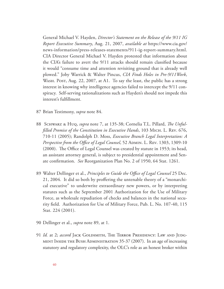General Michael V. Hayden, *Director's Statement on the Release of the 9/11 IG Report Executive Summary*, Aug. 21, 2007, *available at* https://www.cia.gov/ news-information/press-releases-statements/911-ig-report-summary.html. CIA Director General Michael V. Hayden protested that information about the CIA's failure to avert the 9/11 attacks should remain classified because it would "consume time and attention revisiting ground that is already well plowed." Joby Warrick & Walter Pincus, *CIA Finds Holes in Pre-9/11Work*, WASH. POST, Aug. 22, 2007, at A1. To say the least, the public has a strong interest in knowing why intelligence agencies failed to intercept the 9/11 conspiracy. Self-serving rationalizations such as Hayden's should not impede this interest's fulfillment.

- 87 Brian Testimony, *supra* note 84.
- 88 Schwarz & Huq, *supra* note 7, at 135-38; Cornelia T.L. Pillard, *The Unfulfilled Promise of the Constitution in Executive Hands*, 103 Mich. L. Rev. 676, 710-11 (2005); Randolph D. Moss, *Executive Branch Legal Interpretation: A Perspective from the Office of Legal Counsel*, 52 ADMIN. L. REV. 1303, 1309-10 (2000). The Office of Legal Counsel was created by statute in 1953; its head, an assistant attorney general, is subject to presidential appointment and Senate confirmation. *See* Reorganization Plan No. 2 of 1950, 64 Stat. 1261.
- 89 Walter Dellinger et al., *Principles to Guide the Office of Legal Counsel* 25 Dec. 21, 2004. It did so both by proffering the untenable theory of a "monarchical executive" to underwrite extraordinary new powers, or by interpreting statutes such as the September 2001 Authorization for the Use of Military Force, as wholesale repudiation of checks and balances in the national security field. Authorization for Use of Military Force, Pub. L. No. 107-40, 115 Stat. 224 (2001).
- 90 Dellinger et al., *supra* note 89, at 1.
- 91 *Id.* at 2; *accord* JACK GOLDSMITH, THE TERROR PRESIDENCY: LAW AND JUDGment Inside the Bush Administration 35-37 (2007). In an age of increasing statutory and regulatory complexity, the OLC's role as an honest broker within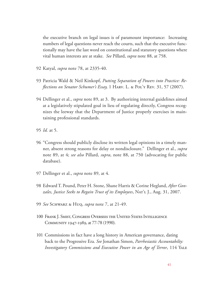the executive branch on legal issues is of paramount importance: Increasing numbers of legal questions never reach the courts, such that the executive functionally may have the last word on constitutional and statutory questions where vital human interests are at stake. *See* Pillard, *supra* note 88, at 758.

- 92 Katyal, *supra* note 78, at 2335-40.
- 93 Patricia Wald & Neil Kinkopf, *Putting Separation of Powers into Practice: Reflections on Senator Schumer's Essay,* 1 Harv. L. & POL'y Rev. 31, 57 (2007).
- 94 Dellinger et al., *supra* note 89, at 3. By authorizing internal guidelines aimed at a legislatively stipulated goal in lieu of regulating directly, Congress recognizes the leeway that the Department of Justice properly exercises in maintaining professional standards.
- 95 *Id.* at 5.
- 96 "Congress should publicly disclose its written legal opinions in a timely manner, absent strong reasons for delay or nondisclosure." Dellinger et al., *supra*  note 89, at 4; *see also* Pillard, *supra*, note 88, at 750 (advocating for public database).
- 97 Dellinger et al., *supra* note 89, at 4.
- 98 Edward T. Pound, Peter H. Stone, Shane Harris & Corine Hegland, *After Gonzales, Justice Seeks to Regain Trust of its Employees*, Nat'l J., Aug. 31, 2007.
- 99 *See* Schwarz & Huq, *supra* note 7, at 21-49.
- 100 Frank J. Smist, Congress Oversees the United States Intelligence Community 1947-1989, at 77-78 (1990).
- 101 Commissions in fact have a long history in American governance, dating back to the Progressive Era. *See* Jonathan Simon, *Parrhesiastic Accountabilty: Investigatory Commissions and Executive Power in an Age of Terror*, 114 Yale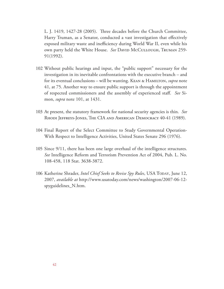L. J. 1419, 1427-28 (2005). Three decades before the Church Committee, Harry Truman, as a Senator, conducted a vast investigation that effectively exposed military waste and inefficiency during World War II, even while his own party held the White House. *See* David McCullough, Truman 259-91(1992).

- 102 Without public hearings and input, the "public support" necessary for the investigation in its inevitable confrontations with the executive branch – and for its eventual conclusions – will be wanting. Kean & Hamilton, *supra* note 41*,* at 75. Another way to ensure public support is through the appointment of respected commissioners and the assembly of experienced staff. *See* Simon, *supra* note 101, at 1431.
- 103 At present, the statutory framework for national security agencies is thin. *See*  Rhodi Jeffreys-Jones, The CIA and American Democracy 40-41 (1989).
- 104 Final Report of the Select Committee to Study Governmental Operation-With Respect to Intelligence Activities, United States Senate 296 (1976).
- 105 Since 9/11, there has been one large overhaul of the intelligence structures. *See* Intelligence Reform and Terrorism Prevention Act of 2004, Pub. L. No. 108-458, 118 Stat. 3638-3872.
- 106 Katherine Shrader, *Intel Chief Seeks to Revise Spy Rules*, USA TODAY, June 12, 2007, *available at* http://www.usatoday.com/news/washington/2007-06-12 spyguidelines\_N.htm.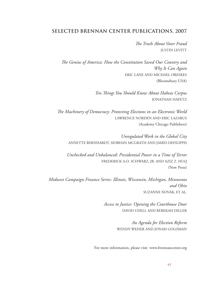#### **SELECTED BRENNAN CENTER PUBLICATIONS, 2007**

*The Truth About Voter Fraud* JUSTIN LEVITT

*The Genius of America: How the Constitution Saved Our Country and Why It Can Again* ERIC LANE AND MICHAEL ORESKES (Bloomsbury USA)

> *Ten Things You Should Know About Habeas Corpus* JONATHAN HAFETZ

*The Machinery of Democracy: Protecting Elections in an Electronic World* LAWRENCE NORDEN AND ERIC LAZARUS (Academy Chicago Publishers)

*Unregulated Work in the Global City* ANNETTE BERNHARDT, SIOBHAN MCGRATH AND JAMES DEFILIPPIS

*Unchecked and Unbalanced: Presidential Power in a Time of Terror* FREDERICK A.O. SCHWARZ, JR. AND AZIZ Z. HUQ (New Press)

*Midwest Campaign Finance Series: Illinois, Wisconsin, Michigan, Minnesota and Ohio* SUZANNE NOVAK, ET AL.

> *Access to Justice: Opening the Courthouse Door* DAVID UDELL AND REBEKAH DILLER

> > *An Agenda for Election Reform* WENDY WEISER AND JONAH GOLDMAN

For more information, please visit www.brennancenter.org